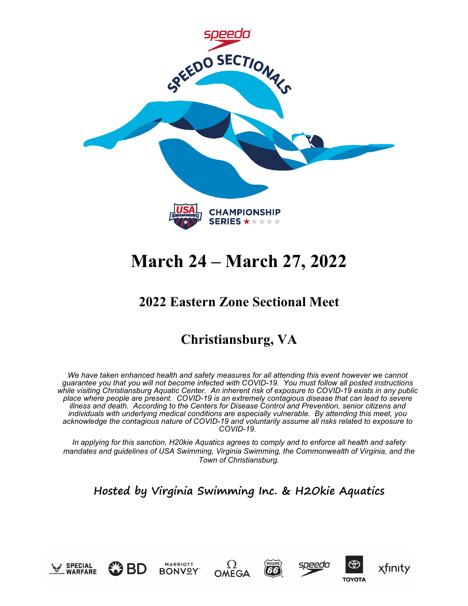

# **March 24 – March 27, 2022**

## **2022 Eastern Zone Sectional Meet**

## **Christiansburg, VA**

*We have taken enhanced health and safety measures for all attending this event however we cannot guarantee you that you will not become infected with COVID-19. You must follow all posted instructions while visiting Christiansburg Aquatic Center. An inherent risk of exposure to COVID-19 exists in any public place where people are present. COVID-19 is an extremely contagious disease that can lead to severe illness and death. According to the Centers for Disease Control and Prevention, senior citizens and individuals with underlying medical conditions are especially vulnerable. By attending this meet, you acknowledge the contagious nature of COVID-19 and voluntarily assume all risks related to exposure to COVID-19.*

*In applying for this sanction, H20kie Aquatics agrees to comply and to enforce all health and safety mandates and guidelines of USA Swimming, Virginia Swimming, the Commonwealth of Virginia, and the Town of Christiansburg.*

## **Hosted by Virginia Swimming Inc. & H2Okie Aquatics**





**MARRIOTT** 











**TOYOTA**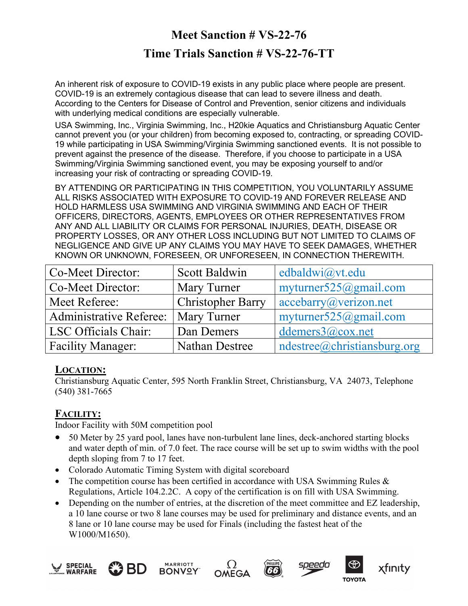## **Meet Sanction # VS-22-76 Time Trials Sanction # VS-22-76-TT**

An inherent risk of exposure to COVID-19 exists in any public place where people are present. COVID-19 is an extremely contagious disease that can lead to severe illness and death. According to the Centers for Disease of Control and Prevention, senior citizens and individuals with underlying medical conditions are especially vulnerable.

USA Swimming, Inc., Virginia Swimming, Inc., H20kie Aquatics and Christiansburg Aquatic Center cannot prevent you (or your children) from becoming exposed to, contracting, or spreading COVID-19 while participating in USA Swimming/Virginia Swimming sanctioned events. It is not possible to prevent against the presence of the disease. Therefore, if you choose to participate in a USA Swimming/Virginia Swimming sanctioned event, you may be exposing yourself to and/or increasing your risk of contracting or spreading COVID-19.

BY ATTENDING OR PARTICIPATING IN THIS COMPETITION, YOU VOLUNTARILY ASSUME ALL RISKS ASSOCIATED WITH EXPOSURE TO COVID-19 AND FOREVER RELEASE AND HOLD HARMLESS USA SWIMMING AND VIRGINIA SWIMMING AND EACH OF THEIR OFFICERS, DIRECTORS, AGENTS, EMPLOYEES OR OTHER REPRESENTATIVES FROM ANY AND ALL LIABILITY OR CLAIMS FOR PERSONAL INJURIES, DEATH, DISEASE OR PROPERTY LOSSES, OR ANY OTHER LOSS INCLUDING BUT NOT LIMITED TO CLAIMS OF NEGLIGENCE AND GIVE UP ANY CLAIMS YOU MAY HAVE TO SEEK DAMAGES, WHETHER KNOWN OR UNKNOWN, FORESEEN, OR UNFORESEEN, IN CONNECTION THEREWITH.

| Co-Meet Director:        | Scott Baldwin            | edbaldwi@vt.edu            |
|--------------------------|--------------------------|----------------------------|
| Co-Meet Director:        | Mary Turner              | myturner $525@g$ mail.com  |
| Meet Referee:            | <b>Christopher Barry</b> | acceptary@verizon.net      |
| Administrative Referee:  | <b>Mary Turner</b>       | myturner $525@g$ mail.com  |
| LSC Officials Chair:     | Dan Demers               | ddemers $3@cov.net$        |
| <b>Facility Manager:</b> | <b>Nathan Destree</b>    | ndestre@christiansburg.org |

### **LOCATION:**

Christiansburg Aquatic Center, 595 North Franklin Street, Christiansburg, VA 24073, Telephone (540) 381-7665

## **FACILITY:**

Indoor Facility with 50M competition pool

- 50 Meter by 25 yard pool, lanes have non-turbulent lane lines, deck-anchored starting blocks and water depth of min. of 7.0 feet. The race course will be set up to swim widths with the pool depth sloping from 7 to 17 feet.
- Colorado Automatic Timing System with digital scoreboard
- The competition course has been certified in accordance with USA Swimming Rules & Regulations, Article 104.2.2C. A copy of the certification is on fill with USA Swimming.
- Depending on the number of entries, at the discretion of the meet committee and EZ leadership, a 10 lane course or two 8 lane courses may be used for preliminary and distance events, and an 8 lane or 10 lane course may be used for Finals (including the fastest heat of the W1000/M1650).











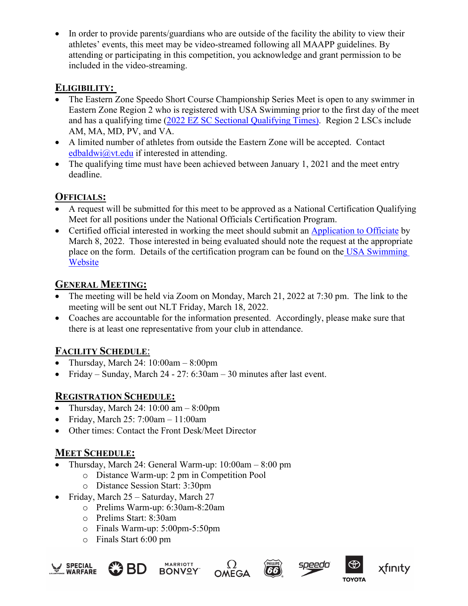• In order to provide parents/guardians who are outside of the facility the ability to view their athletes' events, this meet may be video-streamed following all MAAPP guidelines. By attending or participating in this competition, you acknowledge and grant permission to be included in the video-streaming.

#### **ELIGIBILITY:**

- The Eastern Zone Speedo Short Course Championship Series Meet is open to any swimmer in Eastern Zone Region 2 who is registered with USA Swimming prior to the first day of the meet and has a qualifying time [\(2022 EZ SC Sectional Qualifying Times\).](http://www.easternzoneswimming.org/meet_info/2022_Sectionals_Qualifying_Times.pdf) Region 2 LSCs include AM, MA, MD, PV, and VA.
- A limited number of athletes from outside the Eastern Zone will be accepted. Contact [edbaldwi@vt.edu](mailto:edbaldwi@vt.edu) if interested in attending.
- The qualifying time must have been achieved between January 1, 2021 and the meet entry deadline.

## **OFFICIALS:**

- A request will be submitted for this meet to be approved as a National Certification Qualifying Meet for all positions under the National Officials Certification Program.
- Certified official interested in working the meet should submit an [Application to Officiate](https://docs.google.com/forms/d/e/1FAIpQLSc6JjTdskHuss5XKzNpykljndt-oVB4jXY_qzaA6xCzCCC_fQ/viewform?usp=pp_url) by March 8, 2022. Those interested in being evaluated should note the request at the appropriate place on the form. Details of the certification program can be found on the [USA Swimming](https://www.usaswimming.org/officials/national-certification-evaluation)  [Website](https://www.usaswimming.org/officials/national-certification-evaluation)

## **GENERAL MEETING:**

- The meeting will be held via Zoom on Monday, March 21, 2022 at 7:30 pm. The link to the meeting will be sent out NLT Friday, March 18, 2022.
- Coaches are accountable for the information presented. Accordingly, please make sure that there is at least one representative from your club in attendance.

## **FACILITY SCHEDULE**:

- Thursday, March 24: 10:00am 8:00pm
- Friday Sunday, March 24 27: 6:30am 30 minutes after last event.

### **REGISTRATION SCHEDULE:**

- Thursday, March 24:  $10:00 \text{ am} 8:00 \text{ pm}$
- Friday, March  $25: 7:00$ am  $-11:00$ am
- Other times: Contact the Front Desk/Meet Director

### **MEET SCHEDULE:**

- Thursday, March 24: General Warm-up: 10:00am 8:00 pm
	- o Distance Warm-up: 2 pm in Competition Pool
	- o Distance Session Start: 3:30pm
- Friday, March 25 Saturday, March 27
	- o Prelims Warm-up: 6:30am-8:20am
	- o Prelims Start: 8:30am
	- o Finals Warm-up: 5:00pm-5:50pm
	- o Finals Start 6:00 pm







166

![](_page_2_Picture_30.jpeg)

![](_page_2_Picture_31.jpeg)

xfınıty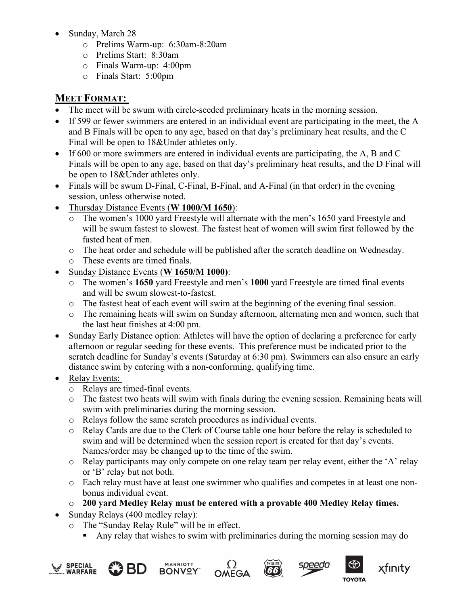- Sunday, March 28
	- o Prelims Warm-up: 6:30am-8:20am
	- o Prelims Start: 8:30am
	- o Finals Warm-up: 4:00pm
	- o Finals Start: 5:00pm

## **MEET FORMAT:**

- The meet will be swum with circle-seeded preliminary heats in the morning session.
- If 599 or fewer swimmers are entered in an individual event are participating in the meet, the A and B Finals will be open to any age, based on that day's preliminary heat results, and the C Final will be open to 18&Under athletes only.
- If 600 or more swimmers are entered in individual events are participating, the A, B and C Finals will be open to any age, based on that day's preliminary heat results, and the D Final will be open to 18&Under athletes only.
- Finals will be swum D-Final, C-Final, B-Final, and A-Final (in that order) in the evening session, unless otherwise noted.
- Thursday Distance Events (**W 1000/M 1650**):
	- o The women's 1000 yard Freestyle will alternate with the men's 1650 yard Freestyle and will be swum fastest to slowest. The fastest heat of women will swim first followed by the fasted heat of men.
	- o The heat order and schedule will be published after the scratch deadline on Wednesday.
	- o These events are timed finals.
- Sunday Distance Events (**W 1650/M 1000)**:
	- o The women's **1650** yard Freestyle and men's **1000** yard Freestyle are timed final events and will be swum slowest-to-fastest.
	- o The fastest heat of each event will swim at the beginning of the evening final session.
	- o The remaining heats will swim on Sunday afternoon, alternating men and women, such that the last heat finishes at 4:00 pm.
- Sunday Early Distance option: Athletes will have the option of declaring a preference for early afternoon or regular seeding for these events. This preference must be indicated prior to the scratch deadline for Sunday's events (Saturday at 6:30 pm). Swimmers can also ensure an early distance swim by entering with a non-conforming, qualifying time.
- Relay Events:
	- o Relays are timed-final events.
	- o The fastest two heats will swim with finals during the evening session. Remaining heats will swim with preliminaries during the morning session.
	- o Relays follow the same scratch procedures as individual events.
	- o Relay Cards are due to the Clerk of Course table one hour before the relay is scheduled to swim and will be determined when the session report is created for that day's events. Names/order may be changed up to the time of the swim.
	- o Relay participants may only compete on one relay team per relay event, either the 'A' relay or 'B' relay but not both.
	- o Each relay must have at least one swimmer who qualifies and competes in at least one nonbonus individual event.
	- o **200 yard Medley Relay must be entered with a provable 400 Medley Relay times.**
- Sunday Relays (400 medley relay):
	- o The "Sunday Relay Rule" will be in effect.
		- Any relay that wishes to swim with preliminaries during the morning session may do

![](_page_3_Picture_30.jpeg)

![](_page_3_Picture_31.jpeg)

![](_page_3_Picture_32.jpeg)

![](_page_3_Picture_33.jpeg)

![](_page_3_Picture_34.jpeg)

![](_page_3_Picture_35.jpeg)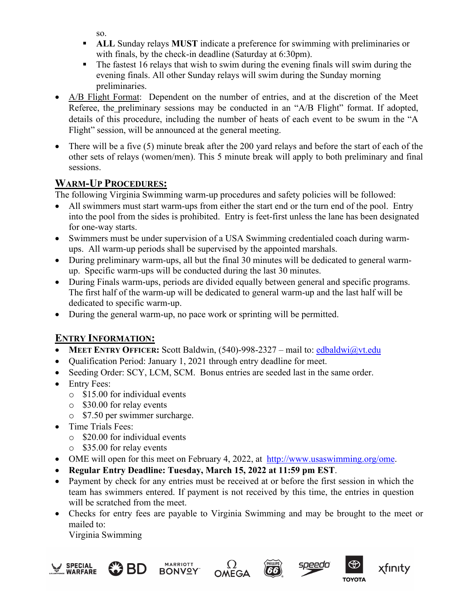so.

- **ALL** Sunday relays **MUST** indicate a preference for swimming with preliminaries or with finals, by the check-in deadline (Saturday at 6:30pm).
- The fastest 16 relays that wish to swim during the evening finals will swim during the evening finals. All other Sunday relays will swim during the Sunday morning preliminaries.
- A/B Flight Format: Dependent on the number of entries, and at the discretion of the Meet Referee, the preliminary sessions may be conducted in an "A/B Flight" format. If adopted, details of this procedure, including the number of heats of each event to be swum in the "A Flight" session, will be announced at the general meeting.
- There will be a five (5) minute break after the 200 yard relays and before the start of each of the other sets of relays (women/men). This 5 minute break will apply to both preliminary and final sessions.

## **WARM-UP PROCEDURES:**

The following Virginia Swimming warm-up procedures and safety policies will be followed:

- All swimmers must start warm-ups from either the start end or the turn end of the pool. Entry into the pool from the sides is prohibited. Entry is feet-first unless the lane has been designated for one-way starts.
- Swimmers must be under supervision of a USA Swimming credentialed coach during warmups. All warm-up periods shall be supervised by the appointed marshals.
- During preliminary warm-ups, all but the final 30 minutes will be dedicated to general warmup. Specific warm-ups will be conducted during the last 30 minutes.
- During Finals warm-ups, periods are divided equally between general and specific programs. The first half of the warm-up will be dedicated to general warm-up and the last half will be dedicated to specific warm-up.
- During the general warm-up, no pace work or sprinting will be permitted.

## **ENTRY INFORMATION:**

- **MEET ENTRY OFFICER:** Scott Baldwin, (540)-998-2327 mail to: [edbaldwi@vt.edu](mailto:edbaldwi@vt.edu)
- Qualification Period: January 1, 2021 through entry deadline for meet.
- Seeding Order: SCY, LCM, SCM. Bonus entries are seeded last in the same order.
- Entry Fees:
	- o \$15.00 for individual events
	- o \$30.00 for relay events
	- o \$7.50 per swimmer surcharge.
- Time Trials Fees:
	- o \$20.00 for individual events
	- o \$35.00 for relay events
- OME will open for this meet on February 4, 2022, at [http://www.usaswimming.org/ome.](http://www.usaswimming.org/ome)
- **Regular Entry Deadline: Tuesday, March 15, 2022 at 11:59 pm EST**.
- Payment by check for any entries must be received at or before the first session in which the team has swimmers entered. If payment is not received by this time, the entries in question will be scratched from the meet.
- Checks for entry fees are payable to Virginia Swimming and may be brought to the meet or mailed to:

Virginia Swimming

![](_page_4_Picture_28.jpeg)

![](_page_4_Picture_29.jpeg)

![](_page_4_Picture_30.jpeg)

![](_page_4_Picture_31.jpeg)

 $(66)$ 

![](_page_4_Picture_32.jpeg)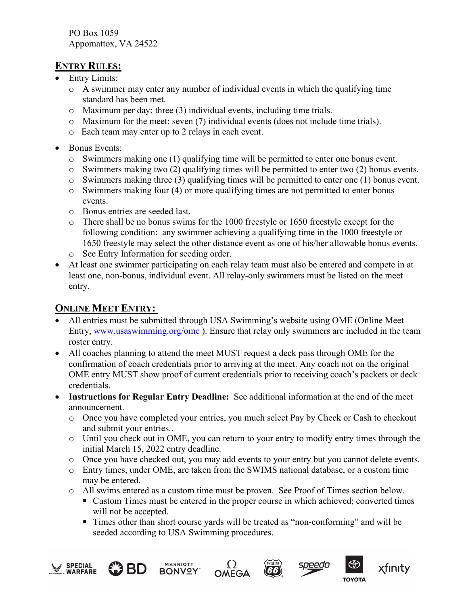PO Box 1059 Appomattox, VA 24522

#### **ENTRY RULES:**

- Entry Limits:
	- o A swimmer may enter any number of individual events in which the qualifying time standard has been met.
	- o Maximum per day: three (3) individual events, including time trials.
	- o Maximum for the meet: seven (7) individual events (does not include time trials).
	- o Each team may enter up to 2 relays in each event.
- Bonus Events:
	- o Swimmers making one (1) qualifying time will be permitted to enter one bonus event.
	- o Swimmers making two (2) qualifying times will be permitted to enter two (2) bonus events.
	- o Swimmers making three (3) qualifying times will be permitted to enter one (1) bonus event.
	- o Swimmers making four (4) or more qualifying times are not permitted to enter bonus events.
	- o Bonus entries are seeded last.
	- o There shall be no bonus swims for the 1000 freestyle or 1650 freestyle except for the following condition: any swimmer achieving a qualifying time in the 1000 freestyle or 1650 freestyle may select the other distance event as one of his/her allowable bonus events.
	- o See Entry Information for seeding order.
- At least one swimmer participating on each relay team must also be entered and compete in at least one, non-bonus, individual event. All relay-only swimmers must be listed on the meet entry.

### **ONLINE MEET ENTRY:**

- All entries must be submitted through USA Swimming's website using OME (Online Meet Entry, [www.usaswimming.org/ome](http://www.usaswimming.org/ome) ). Ensure that relay only swimmers are included in the team roster entry.
- All coaches planning to attend the meet MUST request a deck pass through OME for the confirmation of coach credentials prior to arriving at the meet. Any coach not on the original OME entry MUST show proof of current credentials prior to receiving coach's packets or deck credentials.
- **Instructions for Regular Entry Deadline:** See additional information at the end of the meet announcement.
	- o Once you have completed your entries, you much select Pay by Check or Cash to checkout and submit your entries..
	- $\circ$  Until you check out in OME, you can return to your entry to modify entry times through the initial March 15, 2022 entry deadline.
	- o Once you have checked out, you may add events to your entry but you cannot delete events.
	- o Entry times, under OME, are taken from the SWIMS national database, or a custom time may be entered.
	- o All swims entered as a custom time must be proven. See Proof of Times section below.
		- Custom Times must be entered in the proper course in which achieved; converted times will not be accepted.
		- Times other than short course yards will be treated as "non-conforming" and will be seeded according to USA Swimming procedures.

![](_page_5_Picture_27.jpeg)

![](_page_5_Picture_28.jpeg)

![](_page_5_Picture_29.jpeg)

![](_page_5_Picture_30.jpeg)

(66°

![](_page_5_Picture_31.jpeg)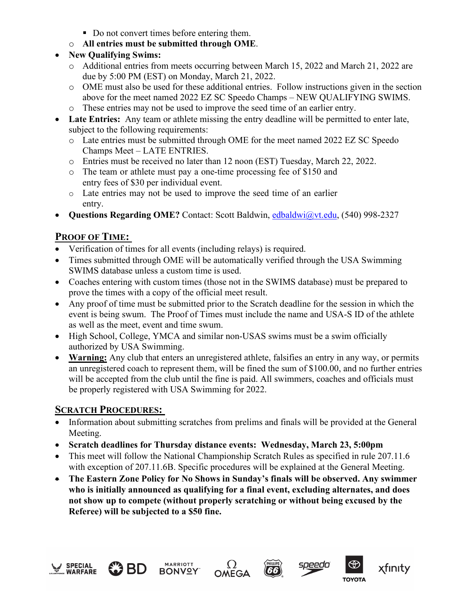- Do not convert times before entering them.
- o **All entries must be submitted through OME**.
- **New Qualifying Swims:**
	- o Additional entries from meets occurring between March 15, 2022 and March 21, 2022 are due by 5:00 PM (EST) on Monday, March 21, 2022.
	- o OME must also be used for these additional entries. Follow instructions given in the section above for the meet named 2022 EZ SC Speedo Champs – NEW QUALIFYING SWIMS.
	- o These entries may not be used to improve the seed time of an earlier entry.
- **Late Entries:** Any team or athlete missing the entry deadline will be permitted to enter late, subject to the following requirements:
	- o Late entries must be submitted through OME for the meet named 2022 EZ SC Speedo Champs Meet – LATE ENTRIES.
	- o Entries must be received no later than 12 noon (EST) Tuesday, March 22, 2022.
	- o The team or athlete must pay a one-time processing fee of \$150 and entry fees of \$30 per individual event.
	- o Late entries may not be used to improve the seed time of an earlier entry.
- **Questions Regarding OME?** Contact: Scott Baldwin, [edbaldwi@vt.edu,](mailto:edbaldwi@vt.edu) (540) 998-2327

## **PROOF OF TIME:**

- Verification of times for all events (including relays) is required.
- Times submitted through OME will be automatically verified through the USA Swimming SWIMS database unless a custom time is used.
- Coaches entering with custom times (those not in the SWIMS database) must be prepared to prove the times with a copy of the official meet result.
- Any proof of time must be submitted prior to the Scratch deadline for the session in which the event is being swum. The Proof of Times must include the name and USA-S ID of the athlete as well as the meet, event and time swum.
- High School, College, YMCA and similar non-USAS swims must be a swim officially authorized by USA Swimming.
- **Warning:** Any club that enters an unregistered athlete, falsifies an entry in any way, or permits an unregistered coach to represent them, will be fined the sum of \$100.00, and no further entries will be accepted from the club until the fine is paid. All swimmers, coaches and officials must be properly registered with USA Swimming for 2022.

## **SCRATCH PROCEDURES:**

- Information about submitting scratches from prelims and finals will be provided at the General Meeting.
- **Scratch deadlines for Thursday distance events: Wednesday, March 23, 5:00pm**
- This meet will follow the National Championship Scratch Rules as specified in rule 207.11.6 with exception of 207.11.6B. Specific procedures will be explained at the General Meeting.
- **The Eastern Zone Policy for No Shows in Sunday's finals will be observed. Any swimmer who is initially announced as qualifying for a final event, excluding alternates, and does not show up to compete (without properly scratching or without being excused by the Referee) will be subjected to a \$50 fine.**

![](_page_6_Picture_24.jpeg)

![](_page_6_Picture_25.jpeg)

![](_page_6_Picture_26.jpeg)

![](_page_6_Picture_27.jpeg)

![](_page_6_Picture_28.jpeg)

xfınıty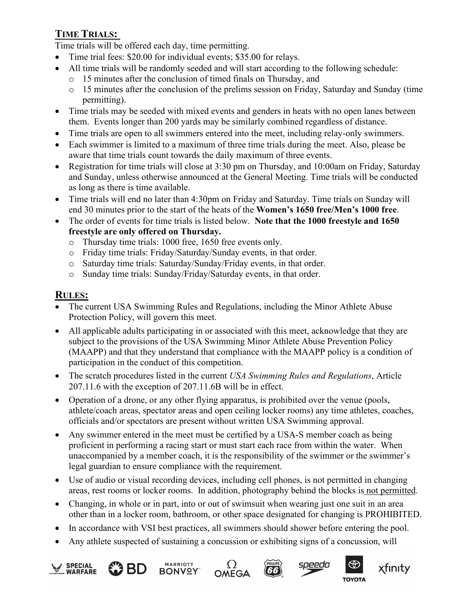## **TIME TRIALS:**

Time trials will be offered each day, time permitting.

- Time trial fees: \$20.00 for individual events; \$35.00 for relays.
- All time trials will be randomly seeded and will start according to the following schedule:
	- o 15 minutes after the conclusion of timed finals on Thursday, and
	- o 15 minutes after the conclusion of the prelims session on Friday, Saturday and Sunday (time permitting).
- Time trials may be seeded with mixed events and genders in heats with no open lanes between them. Events longer than 200 yards may be similarly combined regardless of distance.
- Time trials are open to all swimmers entered into the meet, including relay-only swimmers.
- Each swimmer is limited to a maximum of three time trials during the meet. Also, please be aware that time trials count towards the daily maximum of three events.
- Registration for time trials will close at 3:30 pm on Thursday, and 10:00am on Friday, Saturday and Sunday, unless otherwise announced at the General Meeting. Time trials will be conducted as long as there is time available.
- Time trials will end no later than 4:30pm on Friday and Saturday. Time trials on Sunday will end 30 minutes prior to the start of the heats of the **Women's 1650 free/Men's 1000 free**.
- The order of events for time trials is listed below. **Note that the 1000 freestyle and 1650 freestyle are only offered on Thursday.**
	- o Thursday time trials: 1000 free, 1650 free events only.
	- o Friday time trials: Friday/Saturday/Sunday events, in that order.
	- o Saturday time trials: Saturday/Sunday/Friday events, in that order.
	- o Sunday time trials: Sunday/Friday/Saturday events, in that order.

#### **RULES:**

- The current USA Swimming Rules and Regulations, including the Minor Athlete Abuse Protection Policy, will govern this meet.
- All applicable adults participating in or associated with this meet, acknowledge that they are subject to the provisions of the USA Swimming Minor Athlete Abuse Prevention Policy (MAAPP) and that they understand that compliance with the MAAPP policy is a condition of participation in the conduct of this competition.
- The scratch procedures listed in the current *USA Swimming Rules and Regulations*, Article 207.11.6 with the exception of 207.11.6B will be in effect.
- Operation of a drone, or any other flying apparatus, is prohibited over the venue (pools, athlete/coach areas, spectator areas and open ceiling locker rooms) any time athletes, coaches, officials and/or spectators are present without written USA Swimming approval.
- Any swimmer entered in the meet must be certified by a USA-S member coach as being proficient in performing a racing start or must start each race from within the water. When unaccompanied by a member coach, it is the responsibility of the swimmer or the swimmer's legal guardian to ensure compliance with the requirement.
- Use of audio or visual recording devices, including cell phones, is not permitted in changing areas, rest rooms or locker rooms. In addition, photography behind the blocks is not permitted.
- Changing, in whole or in part, into or out of swimsuit when wearing just one suit in an area other than in a locker room, bathroom, or other space designated for changing is PROHIBITED.
- In accordance with VSI best practices, all swimmers should shower before entering the pool.
- Any athlete suspected of sustaining a concussion or exhibiting signs of a concussion, will

![](_page_7_Picture_26.jpeg)

![](_page_7_Picture_27.jpeg)

![](_page_7_Picture_28.jpeg)

![](_page_7_Picture_29.jpeg)

![](_page_7_Picture_30.jpeg)

![](_page_7_Picture_31.jpeg)

![](_page_7_Picture_32.jpeg)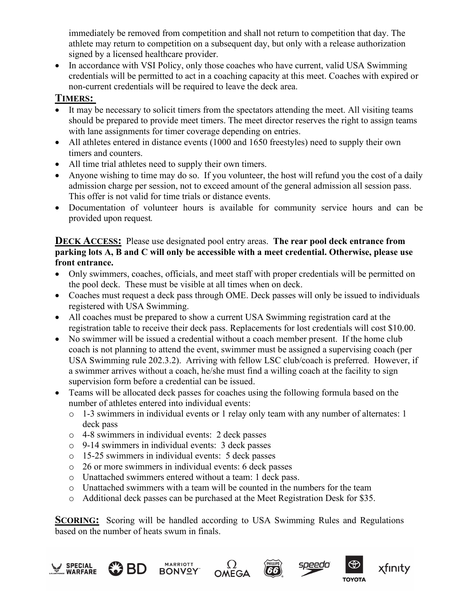immediately be removed from competition and shall not return to competition that day. The athlete may return to competition on a subsequent day, but only with a release authorization signed by a licensed healthcare provider.

• In accordance with VSI Policy, only those coaches who have current, valid USA Swimming credentials will be permitted to act in a coaching capacity at this meet. Coaches with expired or non-current credentials will be required to leave the deck area.

#### **TIMERS:**

- It may be necessary to solicit timers from the spectators attending the meet. All visiting teams should be prepared to provide meet timers. The meet director reserves the right to assign teams with lane assignments for timer coverage depending on entries.
- All athletes entered in distance events (1000 and 1650 freestyles) need to supply their own timers and counters.
- All time trial athletes need to supply their own timers.
- Anyone wishing to time may do so. If you volunteer, the host will refund you the cost of a daily admission charge per session, not to exceed amount of the general admission all session pass. This offer is not valid for time trials or distance events.
- Documentation of volunteer hours is available for community service hours and can be provided upon request*.*

#### **DECK ACCESS:** Please use designated pool entry areas. **The rear pool deck entrance from parking lots A, B and C will only be accessible with a meet credential. Otherwise, please use front entrance.**

- Only swimmers, coaches, officials, and meet staff with proper credentials will be permitted on the pool deck. These must be visible at all times when on deck.
- Coaches must request a deck pass through OME. Deck passes will only be issued to individuals registered with USA Swimming.
- All coaches must be prepared to show a current USA Swimming registration card at the registration table to receive their deck pass. Replacements for lost credentials will cost \$10.00.
- No swimmer will be issued a credential without a coach member present. If the home club coach is not planning to attend the event, swimmer must be assigned a supervising coach (per USA Swimming rule 202.3.2). Arriving with fellow LSC club/coach is preferred. However, if a swimmer arrives without a coach, he/she must find a willing coach at the facility to sign supervision form before a credential can be issued.
- Teams will be allocated deck passes for coaches using the following formula based on the number of athletes entered into individual events:
	- o 1-3 swimmers in individual events or 1 relay only team with any number of alternates: 1 deck pass
	- o 4-8 swimmers in individual events: 2 deck passes
	- o 9-14 swimmers in individual events: 3 deck passes
	- o 15-25 swimmers in individual events: 5 deck passes
	- o 26 or more swimmers in individual events: 6 deck passes
	- o Unattached swimmers entered without a team: 1 deck pass.
	- o Unattached swimmers with a team will be counted in the numbers for the team
	- o Additional deck passes can be purchased at the Meet Registration Desk for \$35.

**SCORING:** Scoring will be handled according to USA Swimming Rules and Regulations based on the number of heats swum in finals.

![](_page_8_Picture_23.jpeg)

![](_page_8_Picture_24.jpeg)

![](_page_8_Picture_25.jpeg)

![](_page_8_Picture_26.jpeg)

 $(66)$ 

![](_page_8_Picture_27.jpeg)

![](_page_8_Picture_28.jpeg)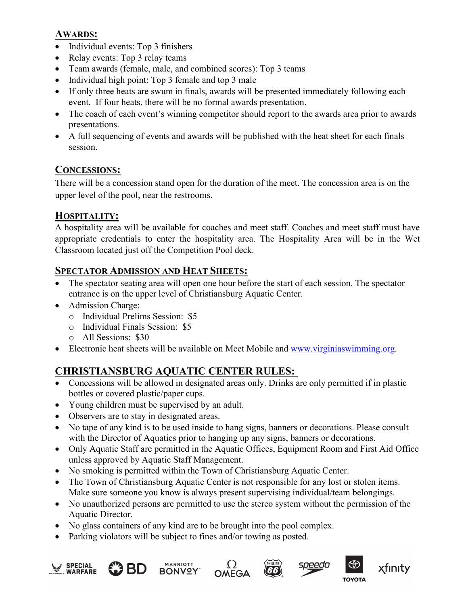#### **AWARDS:**

- Individual events: Top 3 finishers
- Relay events: Top 3 relay teams
- Team awards (female, male, and combined scores): Top 3 teams
- Individual high point: Top 3 female and top 3 male
- If only three heats are swum in finals, awards will be presented immediately following each event. If four heats, there will be no formal awards presentation.
- The coach of each event's winning competitor should report to the awards area prior to awards presentations.
- A full sequencing of events and awards will be published with the heat sheet for each finals session.

#### **CONCESSIONS:**

There will be a concession stand open for the duration of the meet. The concession area is on the upper level of the pool, near the restrooms.

#### **HOSPITALITY:**

A hospitality area will be available for coaches and meet staff. Coaches and meet staff must have appropriate credentials to enter the hospitality area. The Hospitality Area will be in the Wet Classroom located just off the Competition Pool deck.

#### **SPECTATOR ADMISSION AND HEAT SHEETS:**

- The spectator seating area will open one hour before the start of each session. The spectator entrance is on the upper level of Christiansburg Aquatic Center.
- Admission Charge:
	- o Individual Prelims Session: \$5
	- o Individual Finals Session: \$5
	- o All Sessions: \$30
- Electronic heat sheets will be available on Meet Mobile and [www.virginiaswimming.org.](http://www.virginiaswimming.org/)

### **CHRISTIANSBURG AQUATIC CENTER RULES:**

- Concessions will be allowed in designated areas only. Drinks are only permitted if in plastic bottles or covered plastic/paper cups.
- Young children must be supervised by an adult.
- Observers are to stay in designated areas.
- No tape of any kind is to be used inside to hang signs, banners or decorations. Please consult with the Director of Aquatics prior to hanging up any signs, banners or decorations.
- Only Aquatic Staff are permitted in the Aquatic Offices, Equipment Room and First Aid Office unless approved by Aquatic Staff Management.
- No smoking is permitted within the Town of Christiansburg Aquatic Center.
- The Town of Christiansburg Aquatic Center is not responsible for any lost or stolen items. Make sure someone you know is always present supervising individual/team belongings.
- No unauthorized persons are permitted to use the stereo system without the permission of the Aquatic Director.
- No glass containers of any kind are to be brought into the pool complex.
- Parking violators will be subject to fines and/or towing as posted.

![](_page_9_Picture_30.jpeg)

![](_page_9_Picture_31.jpeg)

![](_page_9_Picture_32.jpeg)

![](_page_9_Picture_33.jpeg)

![](_page_9_Picture_34.jpeg)

![](_page_9_Picture_35.jpeg)

xfinity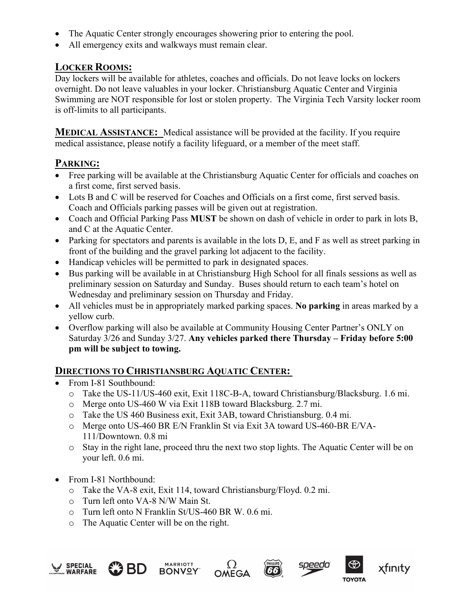- The Aquatic Center strongly encourages showering prior to entering the pool.
- All emergency exits and walkways must remain clear.

#### **LOCKER ROOMS:**

Day lockers will be available for athletes, coaches and officials. Do not leave locks on lockers overnight. Do not leave valuables in your locker. Christiansburg Aquatic Center and Virginia Swimming are NOT responsible for lost or stolen property. The Virginia Tech Varsity locker room is off-limits to all participants.

**MEDICAL ASSISTANCE:** Medical assistance will be provided at the facility. If you require medical assistance, please notify a facility lifeguard, or a member of the meet staff.

#### **PARKING:**

- Free parking will be available at the Christiansburg Aquatic Center for officials and coaches on a first come, first served basis.
- Lots B and C will be reserved for Coaches and Officials on a first come, first served basis. Coach and Officials parking passes will be given out at registration.
- Coach and Official Parking Pass **MUST** be shown on dash of vehicle in order to park in lots B, and C at the Aquatic Center.
- Parking for spectators and parents is available in the lots D, E, and F as well as street parking in front of the building and the gravel parking lot adjacent to the facility.
- Handicap vehicles will be permitted to park in designated spaces.
- Bus parking will be available in at Christiansburg High School for all finals sessions as well as preliminary session on Saturday and Sunday. Buses should return to each team's hotel on Wednesday and preliminary session on Thursday and Friday.
- All vehicles must be in appropriately marked parking spaces. **No parking** in areas marked by a yellow curb.
- Overflow parking will also be available at Community Housing Center Partner's ONLY on Saturday 3/26 and Sunday 3/27. **Any vehicles parked there Thursday – Friday before 5:00 pm will be subject to towing.**

#### **DIRECTIONS TO CHRISTIANSBURG AQUATIC CENTER:**

- From I-81 Southbound:
	- o Take the US-11/US-460 exit, Exit 118C-B-A, toward Christiansburg/Blacksburg. 1.6 mi.
	- o Merge onto US-460 W via Exit 118B toward Blacksburg. 2.7 mi.
	- o Take the US 460 Business exit, Exit 3AB, toward Christiansburg. 0.4 mi.
	- o Merge onto US-460 BR E/N Franklin St via Exit 3A toward US-460-BR E/VA-111/Downtown. 0.8 mi
	- o Stay in the right lane, proceed thru the next two stop lights. The Aquatic Center will be on your left. 0.6 mi.
- From I-81 Northbound:
	- o Take the VA-8 exit, Exit 114, toward Christiansburg/Floyd. 0.2 mi.
	- o Turn left onto VA-8 N/W Main St.
	- o Turn left onto N Franklin St/US-460 BR W. 0.6 mi.
	- o The Aquatic Center will be on the right.

![](_page_10_Picture_26.jpeg)

![](_page_10_Picture_27.jpeg)

![](_page_10_Picture_28.jpeg)

![](_page_10_Picture_29.jpeg)

(66)

![](_page_10_Picture_30.jpeg)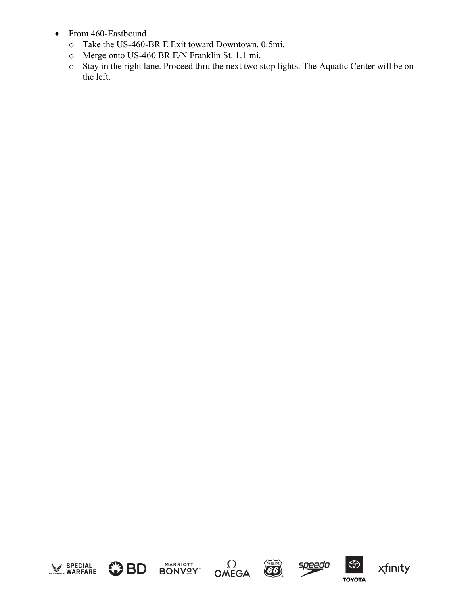- From 460-Eastbound
	- o Take the US-460-BR E Exit toward Downtown. 0.5mi.
	- o Merge onto US-460 BR E/N Franklin St. 1.1 mi.
	- o Stay in the right lane. Proceed thru the next two stop lights. The Aquatic Center will be on the left.

![](_page_11_Picture_4.jpeg)

![](_page_11_Picture_5.jpeg)

![](_page_11_Picture_6.jpeg)

![](_page_11_Picture_7.jpeg)

 $\Omega$ 

![](_page_11_Picture_8.jpeg)

![](_page_11_Picture_9.jpeg)

xfinity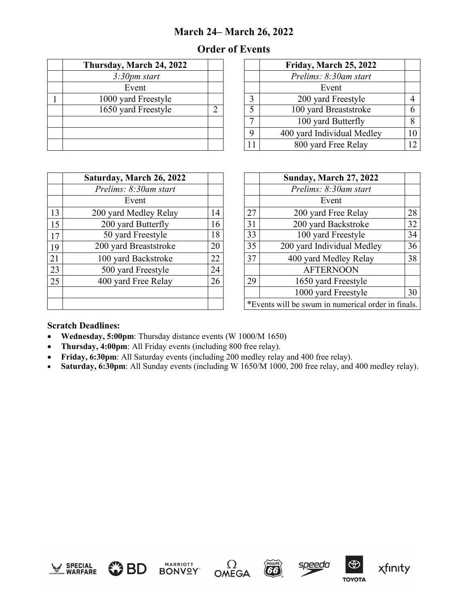## **March 24– March 26, 2022**

## **Order of Events**

| Thursday, March 24, 2022 |   |              | Friday, March 25, 2022    |
|--------------------------|---|--------------|---------------------------|
| 3:30 <sub>pm</sub> start |   |              | Prelims: 8:30am start     |
| Event                    |   |              | Event                     |
| 1000 yard Freestyle      |   |              | 200 yard Freestyle        |
| 1650 yard Freestyle      | າ | 5            | 100 yard Breaststroke     |
|                          |   | $\mathbf{r}$ | 100 yard Butterfly        |
|                          |   | 9            | 400 yard Individual Medle |
|                          |   |              | 800 yard Free Relay       |

| Thursday, March 24, 2022 |  |             | Friday, March 25, 2022     |    |
|--------------------------|--|-------------|----------------------------|----|
| 3:30 <sub>pm</sub> start |  |             | Prelims: 8:30am start      |    |
| Event                    |  |             | Event                      |    |
| 1000 yard Freestyle      |  |             | 200 yard Freestyle         |    |
| 1650 yard Freestyle      |  |             | 100 yard Breaststroke      |    |
|                          |  |             | 100 yard Butterfly         |    |
|                          |  | $\mathbf Q$ | 400 yard Individual Medley | l0 |
|                          |  | 11          | 800 yard Free Relay        |    |

|    | Saturday, March 26, 2022 |    |                                       | <b>Sunday, March 27, 2022</b> |  |
|----|--------------------------|----|---------------------------------------|-------------------------------|--|
|    | Prelims: 8:30am start    |    |                                       | Prelims: 8:30am start         |  |
|    | Event                    |    |                                       | Event                         |  |
| 13 | 200 yard Medley Relay    | 14 | 27                                    | 200 yard Free Relay           |  |
| 15 | 200 yard Butterfly       | 16 | 31                                    | 200 yard Backstroke           |  |
| 17 | 50 yard Freestyle        | 18 | 33                                    | 100 yard Freestyle            |  |
| 19 | 200 yard Breaststroke    | 20 | 35                                    | 200 yard Individual Medley    |  |
| 21 | 100 yard Backstroke      | 22 | 37                                    | 400 yard Medley Relay         |  |
| 23 | 500 yard Freestyle       | 24 |                                       | <b>AFTERNOON</b>              |  |
| 25 | 400 yard Free Relay      | 26 | 29                                    | 1650 yard Freestyle           |  |
|    |                          |    |                                       | 1000 yard Freestyle           |  |
|    |                          |    | *Events will be swum in numerical ord |                               |  |

|      | Saturday, March 26, 2022 |    |                                                    | <b>Sunday, March 27, 2022</b> |    |  |  |
|------|--------------------------|----|----------------------------------------------------|-------------------------------|----|--|--|
|      | Prelims: 8:30am start    |    |                                                    | Prelims: 8:30am start         |    |  |  |
|      | Event                    |    |                                                    | Event                         |    |  |  |
| 13   | 200 yard Medley Relay    | 14 | 27                                                 | 200 yard Free Relay           | 28 |  |  |
| 15   | 200 yard Butterfly       | 16 | 31                                                 | 200 yard Backstroke           | 32 |  |  |
| $17$ | 50 yard Freestyle        | 18 | 33                                                 | 100 yard Freestyle            | 34 |  |  |
| 19   | 200 yard Breaststroke    | 20 | 35                                                 | 200 yard Individual Medley    | 36 |  |  |
| 21   | 100 yard Backstroke      | 22 | 37                                                 | 400 yard Medley Relay         | 38 |  |  |
| 23   | 500 yard Freestyle       | 24 |                                                    | <b>AFTERNOON</b>              |    |  |  |
| 25   | 400 yard Free Relay      | 26 | 29                                                 | 1650 yard Freestyle           |    |  |  |
|      |                          |    |                                                    | 1000 yard Freestyle           | 30 |  |  |
|      |                          |    | *Events will be swum in numerical order in finals. |                               |    |  |  |

#### **Scratch Deadlines:**

- **Wednesday, 5:00pm**: Thursday distance events (W 1000/M 1650)
- **Thursday, 4:00pm**: All Friday events (including 800 free relay).
- **Friday, 6:30pm**: All Saturday events (including 200 medley relay and 400 free relay).
- **Saturday, 6:30pm**: All Sunday events (including W 1650/M 1000, 200 free relay, and 400 medley relay).

![](_page_12_Picture_11.jpeg)

![](_page_12_Picture_12.jpeg)

![](_page_12_Picture_13.jpeg)

**MARRIOTT** 

![](_page_12_Picture_14.jpeg)

![](_page_12_Picture_15.jpeg)

![](_page_12_Picture_16.jpeg)

![](_page_12_Picture_17.jpeg)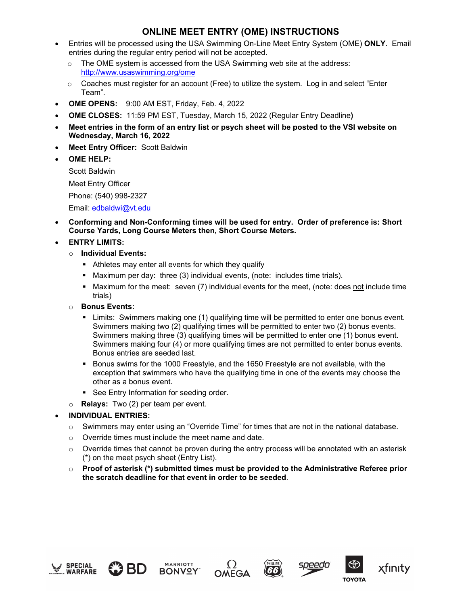#### **ONLINE MEET ENTRY (OME) INSTRUCTIONS**

- Entries will be processed using the USA Swimming On-Line Meet Entry System (OME) **ONLY**. Email entries during the regular entry period will not be accepted.
	- o The OME system is accessed from the USA Swimming web site at the address: <http://www.usaswimming.org/ome>
	- $\circ$  Coaches must register for an account (Free) to utilize the system. Log in and select "Enter Team".
- **OME OPENS:** 9:00 AM EST, Friday, Feb. 4, 2022
- **OME CLOSES:** 11:59 PM EST, Tuesday, March 15, 2022 (Regular Entry Deadline**)**
- **Meet entries in the form of an entry list or psych sheet will be posted to the VSI website on Wednesday, March 16, 2022**
- **Meet Entry Officer:** Scott Baldwin
- **OME HELP:**

Scott Baldwin

Meet Entry Officer

Phone: (540) 998-2327

Email: [edbaldwi@vt.edu](mailto:edbaldwi@vt.edu)

• **Conforming and Non-Conforming times will be used for entry. Order of preference is: Short Course Yards, Long Course Meters then, Short Course Meters.** 

#### • **ENTRY LIMITS:**

- o **Individual Events:**
	- Athletes may enter all events for which they qualify
	- Maximum per day: three (3) individual events, (note: includes time trials).
	- Maximum for the meet: seven (7) individual events for the meet, (note: does not include time trials)
- o **Bonus Events:**
	- Limits: Swimmers making one (1) qualifying time will be permitted to enter one bonus event. Swimmers making two (2) qualifying times will be permitted to enter two (2) bonus events. Swimmers making three (3) qualifying times will be permitted to enter one (1) bonus event. Swimmers making four (4) or more qualifying times are not permitted to enter bonus events. Bonus entries are seeded last.
	- Bonus swims for the 1000 Freestyle, and the 1650 Freestyle are not available, with the exception that swimmers who have the qualifying time in one of the events may choose the other as a bonus event.
	- **See Entry Information for seeding order.**
- o **Relays:** Two (2) per team per event.

#### • **INDIVIDUAL ENTRIES:**

- $\circ$  Swimmers may enter using an "Override Time" for times that are not in the national database.
- o Override times must include the meet name and date.
- $\circ$  Override times that cannot be proven during the entry process will be annotated with an asterisk (\*) on the meet psych sheet (Entry List).
- o **Proof of asterisk (\*) submitted times must be provided to the Administrative Referee prior the scratch deadline for that event in order to be seeded**.

![](_page_13_Picture_29.jpeg)

![](_page_13_Picture_30.jpeg)

![](_page_13_Picture_31.jpeg)

![](_page_13_Picture_32.jpeg)

![](_page_13_Picture_33.jpeg)

![](_page_13_Picture_34.jpeg)